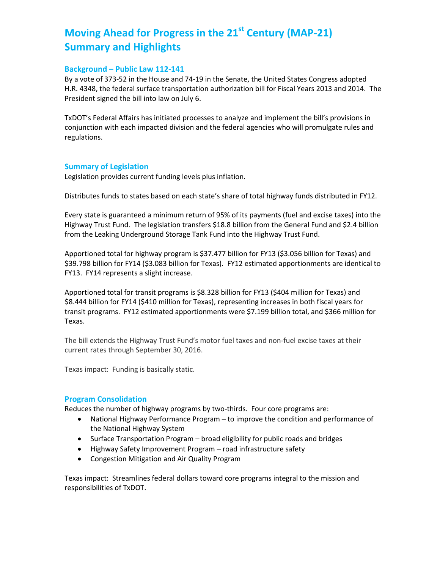# **Moving Ahead for Progress in the 21st Century (MAP-21) Summary and Highlights**

#### **Background – Public Law 112-141**

By a vote of 373-52 in the House and 74-19 in the Senate, the United States Congress adopted H.R. 4348, the federal surface transportation authorization bill for Fiscal Years 2013 and 2014. The President signed the bill into law on July 6.

TxDOT's Federal Affairs has initiated processes to analyze and implement the bill's provisions in conjunction with each impacted division and the federal agencies who will promulgate rules and regulations.

#### **Summary of Legislation**

Legislation provides current funding levels plus inflation.

Distributes funds to states based on each state's share of total highway funds distributed in FY12.

Every state is guaranteed a minimum return of 95% of its payments (fuel and excise taxes) into the Highway Trust Fund. The legislation transfers \$18.8 billion from the General Fund and \$2.4 billion from the Leaking Underground Storage Tank Fund into the Highway Trust Fund.

Apportioned total for highway program is \$37.477 billion for FY13 (\$3.056 billion for Texas) and \$39.798 billion for FY14 (\$3.083 billion for Texas). FY12 estimated apportionments are identical to FY13. FY14 represents a slight increase.

Apportioned total for transit programs is \$8.328 billion for FY13 (\$404 million for Texas) and \$8.444 billion for FY14 (\$410 million for Texas), representing increases in both fiscal years for transit programs. FY12 estimated apportionments were \$7.199 billion total, and \$366 million for Texas.

The bill extends the Highway Trust Fund's motor fuel taxes and non-fuel excise taxes at their current rates through September 30, 2016.

Texas impact: Funding is basically static.

#### **Program Consolidation**

Reduces the number of highway programs by two-thirds. Four core programs are:

- National Highway Performance Program to improve the condition and performance of the National Highway System
- Surface Transportation Program broad eligibility for public roads and bridges
- Highway Safety Improvement Program road infrastructure safety
- Congestion Mitigation and Air Quality Program

Texas impact: Streamlines federal dollars toward core programs integral to the mission and responsibilities of TxDOT.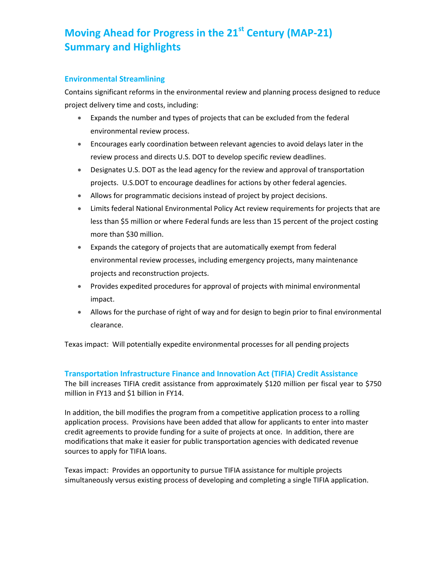# **Moving Ahead for Progress in the 21st Century (MAP-21) Summary and Highlights**

### **Environmental Streamlining**

Contains significant reforms in the environmental review and planning process designed to reduce project delivery time and costs, including:

- Expands the number and types of projects that can be excluded from the federal environmental review process.
- Encourages early coordination between relevant agencies to avoid delays later in the review process and directs U.S. DOT to develop specific review deadlines.
- Designates U.S. DOT as the lead agency for the review and approval of transportation projects. U.S.DOT to encourage deadlines for actions by other federal agencies.
- Allows for programmatic decisions instead of project by project decisions.
- Limits federal National Environmental Policy Act review requirements for projects that are less than \$5 million or where Federal funds are less than 15 percent of the project costing more than \$30 million.
- Expands the category of projects that are automatically exempt from federal environmental review processes, including emergency projects, many maintenance projects and reconstruction projects.
- Provides expedited procedures for approval of projects with minimal environmental impact.
- Allows for the purchase of right of way and for design to begin prior to final environmental clearance.

Texas impact: Will potentially expedite environmental processes for all pending projects

#### **Transportation Infrastructure Finance and Innovation Act (TIFIA) Credit Assistance**

The bill increases TIFIA credit assistance from approximately \$120 million per fiscal year to \$750 million in FY13 and \$1 billion in FY14.

In addition, the bill modifies the program from a competitive application process to a rolling application process. Provisions have been added that allow for applicants to enter into master credit agreements to provide funding for a suite of projects at once. In addition, there are modifications that make it easier for public transportation agencies with dedicated revenue sources to apply for TIFIA loans.

Texas impact: Provides an opportunity to pursue TIFIA assistance for multiple projects simultaneously versus existing process of developing and completing a single TIFIA application.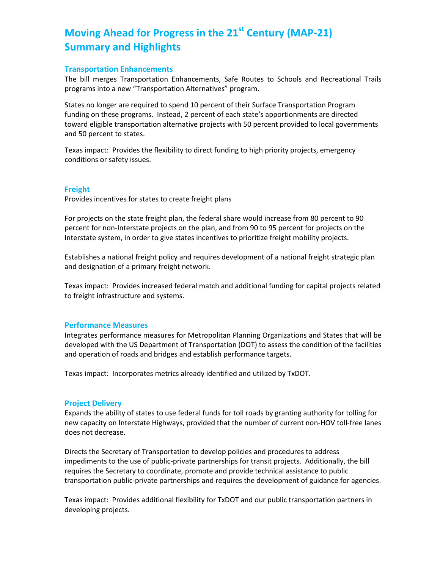# **Moving Ahead for Progress in the 21st Century (MAP-21) Summary and Highlights**

#### **Transportation Enhancements**

The bill merges Transportation Enhancements, Safe Routes to Schools and Recreational Trails programs into a new "Transportation Alternatives" program.

States no longer are required to spend 10 percent of their Surface Transportation Program funding on these programs. Instead, 2 percent of each state's apportionments are directed toward eligible transportation alternative projects with 50 percent provided to local governments and 50 percent to states.

Texas impact: Provides the flexibility to direct funding to high priority projects, emergency conditions or safety issues.

#### **Freight**

Provides incentives for states to create freight plans

For projects on the state freight plan, the federal share would increase from 80 percent to 90 percent for non-Interstate projects on the plan, and from 90 to 95 percent for projects on the Interstate system, in order to give states incentives to prioritize freight mobility projects.

Establishes a national freight policy and requires development of a national freight strategic plan and designation of a primary freight network.

Texas impact: Provides increased federal match and additional funding for capital projects related to freight infrastructure and systems.

#### **Performance Measures**

Integrates performance measures for Metropolitan Planning Organizations and States that will be developed with the US Department of Transportation (DOT) to assess the condition of the facilities and operation of roads and bridges and establish performance targets.

Texas impact: Incorporates metrics already identified and utilized by TxDOT.

#### **Project Delivery**

Expands the ability of states to use federal funds for toll roads by granting authority for tolling for new capacity on Interstate Highways, provided that the number of current non-HOV toll-free lanes does not decrease.

Directs the Secretary of Transportation to develop policies and procedures to address impediments to the use of public-private partnerships for transit projects. Additionally, the bill requires the Secretary to coordinate, promote and provide technical assistance to public transportation public-private partnerships and requires the development of guidance for agencies.

Texas impact: Provides additional flexibility for TxDOT and our public transportation partners in developing projects.